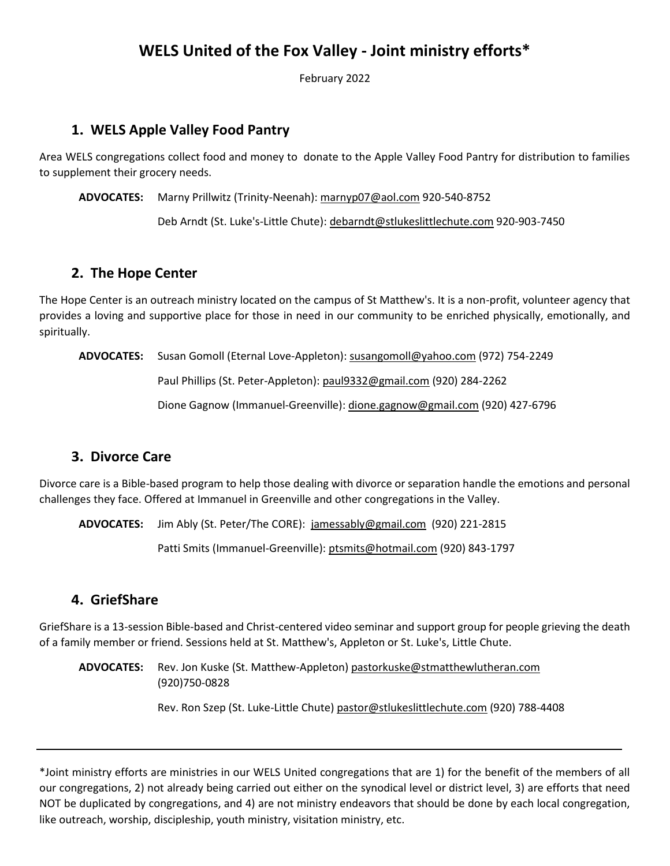# **WELS United of the Fox Valley - Joint ministry efforts\***

February 2022

## **1. WELS Apple Valley Food Pantry**

Area WELS congregations collect food and money to donate to the Apple Valley Food Pantry for distribution to families to supplement their grocery needs.

**ADVOCATES:** Marny Prillwitz (Trinity-Neenah): marnyp07@aol.com 920-540-8752

Deb Arndt (St. Luke's-Little Chute): debarndt@stlukeslittlechute.com 920-903-7450

### **2. The Hope Center**

The Hope Center is an outreach ministry located on the campus of St Matthew's. It is a non-profit, volunteer agency that provides a loving and supportive place for those in need in our community to be enriched physically, emotionally, and spiritually.

**ADVOCATES:** Susan Gomoll (Eternal Love-Appleton): susangomoll@yahoo.com (972) 754-2249

Paul Phillips (St. Peter-Appleton): paul9332@gmail.com (920) 284-2262

Dione Gagnow (Immanuel-Greenville): dione.gagnow@gmail.com (920) 427-6796

#### **3. Divorce Care**

Divorce care is a Bible-based program to help those dealing with divorce or separation handle the emotions and personal challenges they face. Offered at Immanuel in Greenville and other congregations in the Valley.

**ADVOCATES:** Jim Ably (St. Peter/The CORE): jamessably@gmail.com (920) 221-2815

Patti Smits (Immanuel-Greenville): ptsmits@hotmail.com (920) 843-1797

#### **4. GriefShare**

GriefShare is a 13-session Bible-based and Christ-centered video seminar and support group for people grieving the death of a family member or friend. Sessions held at St. Matthew's, Appleton or St. Luke's, Little Chute.

**ADVOCATES:** Rev. Jon Kuske (St. Matthew-Appleton) pastorkuske@stmatthewlutheran.com (920)750-0828

Rev. Ron Szep (St. Luke-Little Chute) pastor@stlukeslittlechute.com (920) 788-4408

\*Joint ministry efforts are ministries in our WELS United congregations that are 1) for the benefit of the members of all our congregations, 2) not already being carried out either on the synodical level or district level, 3) are efforts that need NOT be duplicated by congregations, and 4) are not ministry endeavors that should be done by each local congregation, like outreach, worship, discipleship, youth ministry, visitation ministry, etc.